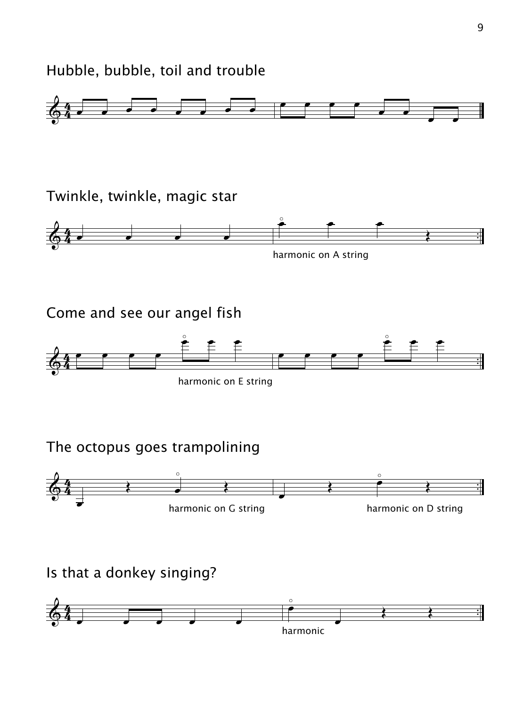Hubble, bubble, toil and trouble



Twinkle, twinkle, magic star



harmonic on A string

Come and see our angel fish



harmonic on E string

The octopus goes trampolining



Is that a donkey singing?

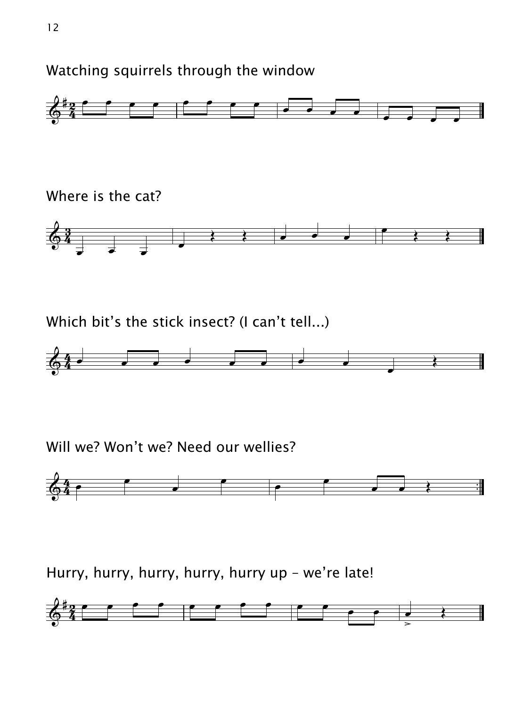Watching squirrels through the window



Where is the cat?



Which bit's the stick insect? (I can't tell...)



## Will we? Won't we? Need our wellies?



Hurry, hurry, hurry, hurry, hurry up - we're late!